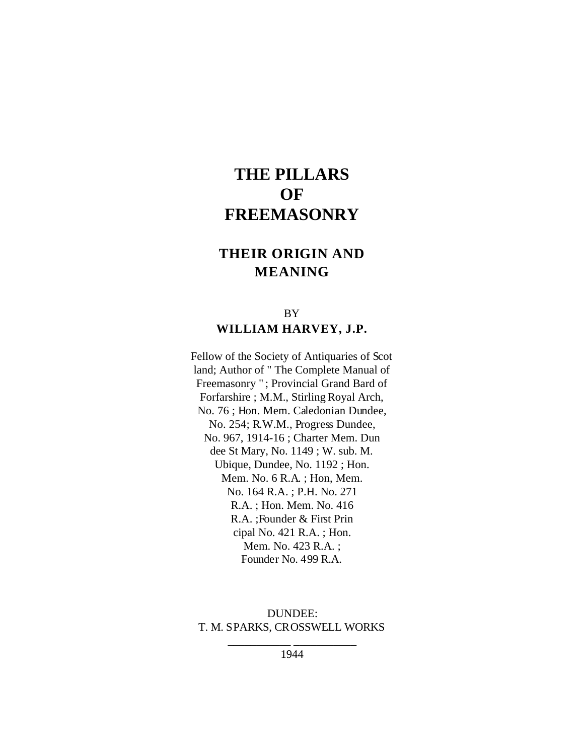# **THE PILLARS OF FREEMASONRY**

# **THEIR ORIGIN AND MEANING**

## BY **WILLIAM HARVEY, J.P.**

Fellow of the Society of Antiquaries of Scot land; Author of " The Complete Manual of Freemasonry " ; Provincial Grand Bard of Forfarshire ; M.M., Stirling Royal Arch, No. 76 ; Hon. Mem. Caledonian Dundee, No. 254; R.W.M., Progress Dundee, No. 967, 1914-16 ; Charter Mem. Dun dee St Mary, No. 1149 ; W. sub. M. Ubique, Dundee, No. 1192 ; Hon. Mem. No. 6 R.A. ; Hon, Mem. No. 164 R.A. ; P.H. No. 271 R.A. ; Hon. Mem. No. 416 R.A. ;Founder & First Prin cipal No. 421 R.A. ; Hon. Mem. No. 423 R.A. ; Founder No. 499 R.A.

DUNDEE: T. M. SPARKS, CROSSWELL WORKS

> \_\_\_\_\_\_\_\_\_\_\_ \_\_\_\_\_\_\_\_\_\_\_ 1944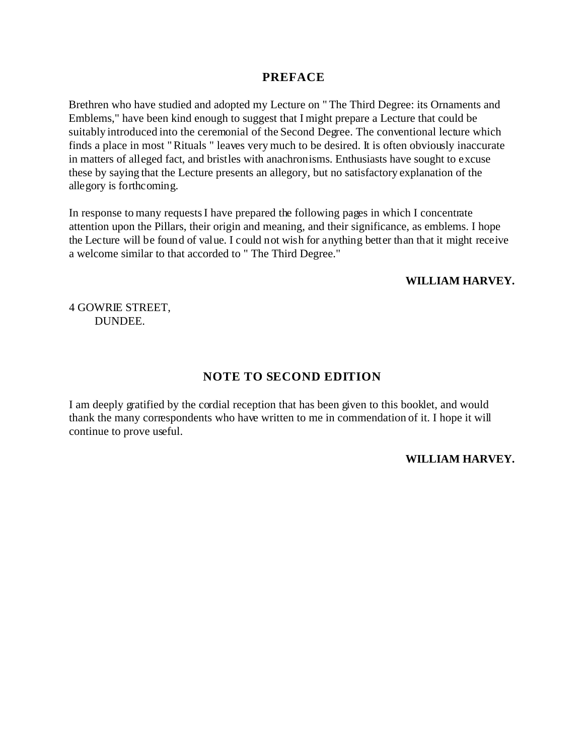### **PREFACE**

Brethren who have studied and adopted my Lecture on " The Third Degree: its Ornaments and Emblems," have been kind enough to suggest that I might prepare a Lecture that could be suitably introduced into the ceremonial of the Second Degree. The conventional lecture which finds a place in most " Rituals " leaves very much to be desired. It is often obviously inaccurate in matters of alleged fact, and bristles with anachronisms. Enthusiasts have sought to excuse these by saying that the Lecture presents an allegory, but no satisfactory explanation of the allegory is forthcoming.

In response to many requests I have prepared the following pages in which I concentrate attention upon the Pillars, their origin and meaning, and their significance, as emblems. I hope the Lecture will be found of value. I could not wish for anything better than that it might receive a welcome similar to that accorded to " The Third Degree."

#### **WILLIAM HARVEY.**

4 GOWRIE STREET, DUNDEE.

### **NOTE TO SECOND EDITION**

I am deeply gratified by the cordial reception that has been given to this booklet, and would thank the many correspondents who have written to me in commendation of it. I hope it will continue to prove useful.

#### **WILLIAM HARVEY.**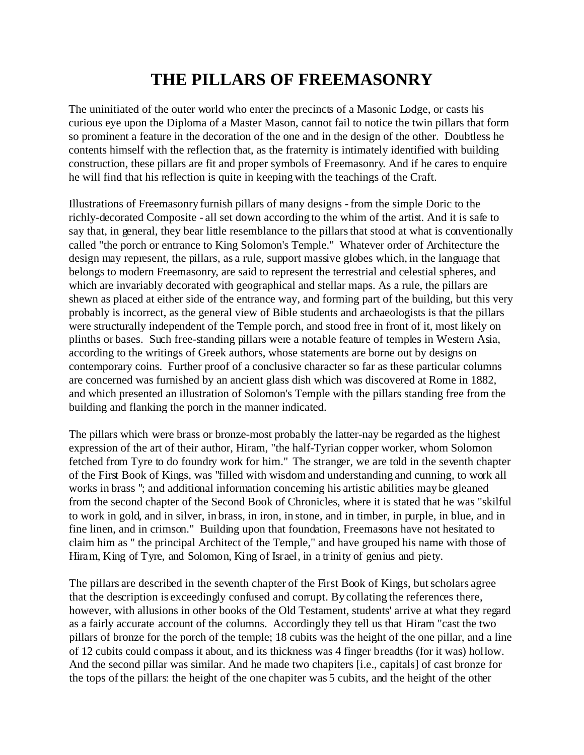# **THE PILLARS OF FREEMASONRY**

The uninitiated of the outer world who enter the precincts of a Masonic Lodge, or casts his curious eye upon the Diploma of a Master Mason, cannot fail to notice the twin pillars that form so prominent a feature in the decoration of the one and in the design of the other. Doubtless he contents himself with the reflection that, as the fraternity is intimately identified with building construction, these pillars are fit and proper symbols of Freemasonry. And if he cares to enquire he will find that his reflection is quite in keeping with the teachings of the Craft.

Illustrations of Freemasonry furnish pillars of many designs - from the simple Doric to the richly-decorated Composite - all set down according to the whim of the artist. And it is safe to say that, in general, they bear little resemblance to the pillars that stood at what is conventionally called "the porch or entrance to King Solomon's Temple." Whatever order of Architecture the design may represent, the pillars, as a rule, support massive globes which, in the language that belongs to modern Freemasonry, are said to represent the terrestrial and celestial spheres, and which are invariably decorated with geographical and stellar maps. As a rule, the pillars are shewn as placed at either side of the entrance way, and forming part of the building, but this very probably is incorrect, as the general view of Bible students and archaeologists is that the pillars were structurally independent of the Temple porch, and stood free in front of it, most likely on plinths or bases. Such free-standing pillars were a notable feature of temples in Western Asia, according to the writings of Greek authors, whose statements are borne out by designs on contemporary coins. Further proof of a conclusive character so far as these particular columns are concerned was furnished by an ancient glass dish which was discovered at Rome in 1882, and which presented an illustration of Solomon's Temple with the pillars standing free from the building and flanking the porch in the manner indicated.

The pillars which were brass or bronze-most probably the latter-nay be regarded as the highest expression of the art of their author, Hiram, "the half-Tyrian copper worker, whom Solomon fetched from Tyre to do foundry work for him." The stranger, we are told in the seventh chapter of the First Book of Kings, was "filled with wisdom and understanding and cunning, to work all works in brass "; and additional information concerning his artistic abilities may be gleaned from the second chapter of the Second Book of Chronicles, where it is stated that he was "skilful to work in gold, and in silver, in brass, in iron, in stone, and in timber, in purple, in blue, and in fine linen, and in crimson." Building upon that foundation, Freemasons have not hesitated to claim him as " the principal Architect of the Temple," and have grouped his name with those of Hiram, King of Tyre, and Solomon, King of Israel, in a trinity of genius and piety.

The pillars are described in the seventh chapter of the First Book of Kings, but scholars agree that the description is exceedingly confused and corrupt. By collating the references there, however, with allusions in other books of the Old Testament, students' arrive at what they regard as a fairly accurate account of the columns. Accordingly they tell us that Hiram "cast the two pillars of bronze for the porch of the temple; 18 cubits was the height of the one pillar, and a line of 12 cubits could compass it about, and its thickness was 4 finger breadths (for it was) hollow. And the second pillar was similar. And he made two chapiters [i.e., capitals] of cast bronze for the tops of the pillars: the height of the one chapiter was 5 cubits, and the height of the other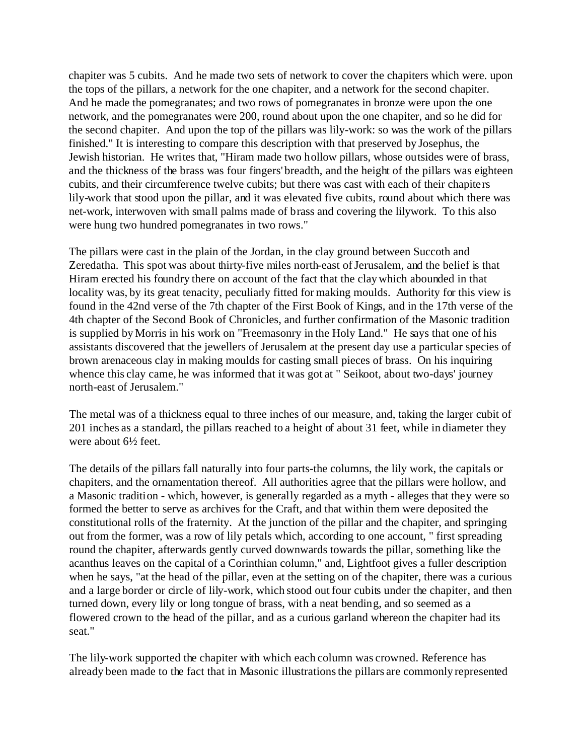chapiter was 5 cubits. And he made two sets of network to cover the chapiters which were. upon the tops of the pillars, a network for the one chapiter, and a network for the second chapiter. And he made the pomegranates; and two rows of pomegranates in bronze were upon the one network, and the pomegranates were 200, round about upon the one chapiter, and so he did for the second chapiter. And upon the top of the pillars was lily-work: so was the work of the pillars finished." It is interesting to compare this description with that preserved by Josephus, the Jewish historian. He writes that, "Hiram made two hollow pillars, whose outsides were of brass, and the thickness of the brass was four fingers' breadth, and the height of the pillars was eighteen cubits, and their circumference twelve cubits; but there was cast with each of their chapiters lily-work that stood upon the pillar, and it was elevated five cubits, round about which there was net-work, interwoven with small palms made of brass and covering the lilywork. To this also were hung two hundred pomegranates in two rows."

The pillars were cast in the plain of the Jordan, in the clay ground between Succoth and Zeredatha. This spot was about thirty-five miles north-east of Jerusalem, and the belief is that Hiram erected his foundry there on account of the fact that the clay which abounded in that locality was, by its great tenacity, peculiarly fitted for making moulds. Authority for this view is found in the 42nd verse of the 7th chapter of the First Book of Kings, and in the 17th verse of the 4th chapter of the Second Book of Chronicles, and further confirmation of the Masonic tradition is supplied by Morris in his work on "Freemasonry in the Holy Land." He says that one of his assistants discovered that the jewellers of Jerusalem at the present day use a particular species of brown arenaceous clay in making moulds for casting small pieces of brass. On his inquiring whence this clay came, he was informed that it was got at " Seikoot, about two-days' journey north-east of Jerusalem."

The metal was of a thickness equal to three inches of our measure, and, taking the larger cubit of 201 inches as a standard, the pillars reached to a height of about 31 feet, while in diameter they were about 6½ feet.

The details of the pillars fall naturally into four parts-the columns, the lily work, the capitals or chapiters, and the ornamentation thereof. All authorities agree that the pillars were hollow, and a Masonic tradition - which, however, is generally regarded as a myth - alleges that they were so formed the better to serve as archives for the Craft, and that within them were deposited the constitutional rolls of the fraternity. At the junction of the pillar and the chapiter, and springing out from the former, was a row of lily petals which, according to one account, " first spreading round the chapiter, afterwards gently curved downwards towards the pillar, something like the acanthus leaves on the capital of a Corinthian column," and, Lightfoot gives a fuller description when he says, "at the head of the pillar, even at the setting on of the chapiter, there was a curious and a large border or circle of lily-work, which stood out four cubits under the chapiter, and then turned down, every lily or long tongue of brass, with a neat bending, and so seemed as a flowered crown to the head of the pillar, and as a curious garland whereon the chapiter had its seat."

The lily-work supported the chapiter with which each column was crowned. Reference has already been made to the fact that in Masonic illustrations the pillars are commonly represented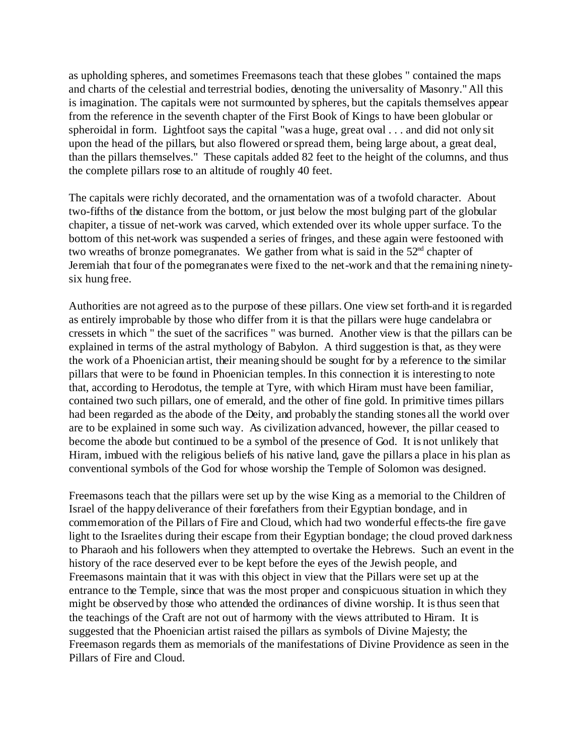as upholding spheres, and sometimes Freemasons teach that these globes " contained the maps and charts of the celestial and terrestrial bodies, denoting the universality of Masonry." All this is imagination. The capitals were not surmounted by spheres, but the capitals themselves appear from the reference in the seventh chapter of the First Book of Kings to have been globular or spheroidal in form. Lightfoot says the capital "was a huge, great oval . . . and did not only sit upon the head of the pillars, but also flowered or spread them, being large about, a great deal, than the pillars themselves." These capitals added 82 feet to the height of the columns, and thus the complete pillars rose to an altitude of roughly 40 feet.

The capitals were richly decorated, and the ornamentation was of a twofold character. About two-fifths of the distance from the bottom, or just below the most bulging part of the globular chapiter, a tissue of net-work was carved, which extended over its whole upper surface. To the bottom of this net-work was suspended a series of fringes, and these again were festooned with two wreaths of bronze pomegranates. We gather from what is said in the  $52<sup>nd</sup>$  chapter of Jeremiah that four of the pomegranates were fixed to the net-work and that the remaining ninetysix hung free.

Authorities are not agreed as to the purpose of these pillars. One view set forth-and it is regarded as entirely improbable by those who differ from it is that the pillars were huge candelabra or cressets in which " the suet of the sacrifices " was burned. Another view is that the pillars can be explained in terms of the astral mythology of Babylon. A third suggestion is that, as they were the work of a Phoenician artist, their meaning should be sought for by a reference to the similar pillars that were to be found in Phoenician temples. In this connection it is interesting to note that, according to Herodotus, the temple at Tyre, with which Hiram must have been familiar, contained two such pillars, one of emerald, and the other of fine gold. In primitive times pillars had been regarded as the abode of the Deity, and probably the standing stones all the world over are to be explained in some such way. As civilization advanced, however, the pillar ceased to become the abode but continued to be a symbol of the presence of God. It is not unlikely that Hiram, imbued with the religious beliefs of his native land, gave the pillars a place in his plan as conventional symbols of the God for whose worship the Temple of Solomon was designed.

Freemasons teach that the pillars were set up by the wise King as a memorial to the Children of Israel of the happy deliverance of their forefathers from their Egyptian bondage, and in commemoration of the Pillars of Fire and Cloud, which had two wonderful effects-the fire gave light to the Israelites during their escape from their Egyptian bondage; the cloud proved darkness to Pharaoh and his followers when they attempted to overtake the Hebrews. Such an event in the history of the race deserved ever to be kept before the eyes of the Jewish people, and Freemasons maintain that it was with this object in view that the Pillars were set up at the entrance to the Temple, since that was the most proper and conspicuous situation in which they might be observed by those who attended the ordinances of divine worship. It is thus seen that the teachings of the Craft are not out of harmony with the views attributed to Hiram. It is suggested that the Phoenician artist raised the pillars as symbols of Divine Majesty; the Freemason regards them as memorials of the manifestations of Divine Providence as seen in the Pillars of Fire and Cloud.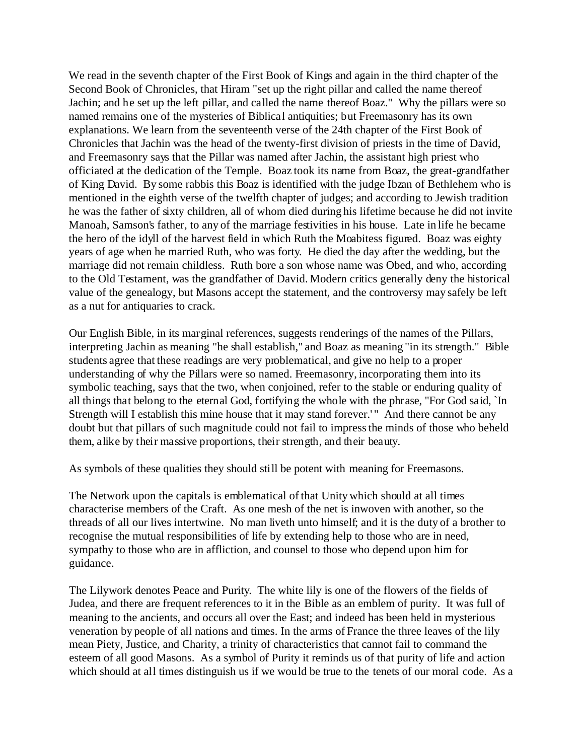We read in the seventh chapter of the First Book of Kings and again in the third chapter of the Second Book of Chronicles, that Hiram "set up the right pillar and called the name thereof Jachin; and he set up the left pillar, and called the name thereof Boaz." Why the pillars were so named remains one of the mysteries of Biblical antiquities; but Freemasonry has its own explanations. We learn from the seventeenth verse of the 24th chapter of the First Book of Chronicles that Jachin was the head of the twenty-first division of priests in the time of David, and Freemasonry says that the Pillar was named after Jachin, the assistant high priest who officiated at the dedication of the Temple. Boaz took its name from Boaz, the great-grandfather of King David. By some rabbis this Boaz is identified with the judge Ibzan of Bethlehem who is mentioned in the eighth verse of the twelfth chapter of judges; and according to Jewish tradition he was the father of sixty children, all of whom died during his lifetime because he did not invite Manoah, Samson's father, to any of the marriage festivities in his house. Late in life he became the hero of the idyll of the harvest field in which Ruth the Moabitess figured. Boaz was eighty years of age when he married Ruth, who was forty. He died the day after the wedding, but the marriage did not remain childless. Ruth bore a son whose name was Obed, and who, according to the Old Testament, was the grandfather of David. Modern critics generally deny the historical value of the genealogy, but Masons accept the statement, and the controversy may safely be left as a nut for antiquaries to crack.

Our English Bible, in its marginal references, suggests renderings of the names of the Pillars, interpreting Jachin as meaning "he shall establish," and Boaz as meaning "in its strength." Bible students agree that these readings are very problematical, and give no help to a proper understanding of why the Pillars were so named. Freemasonry, incorporating them into its symbolic teaching, says that the two, when conjoined, refer to the stable or enduring quality of all things that belong to the eternal God, fortifying the whole with the phrase, "For God said, `In Strength will I establish this mine house that it may stand forever.'" And there cannot be any doubt but that pillars of such magnitude could not fail to impress the minds of those who beheld them, alike by their massive proportions, their strength, and their beauty.

As symbols of these qualities they should still be potent with meaning for Freemasons.

The Network upon the capitals is emblematical of that Unity which should at all times characterise members of the Craft. As one mesh of the net is inwoven with another, so the threads of all our lives intertwine. No man liveth unto himself; and it is the duty of a brother to recognise the mutual responsibilities of life by extending help to those who are in need, sympathy to those who are in affliction, and counsel to those who depend upon him for guidance.

The Lilywork denotes Peace and Purity. The white lily is one of the flowers of the fields of Judea, and there are frequent references to it in the Bible as an emblem of purity. It was full of meaning to the ancients, and occurs all over the East; and indeed has been held in mysterious veneration by people of all nations and times. In the arms of France the three leaves of the lily mean Piety, Justice, and Charity, a trinity of characteristics that cannot fail to command the esteem of all good Masons. As a symbol of Purity it reminds us of that purity of life and action which should at all times distinguish us if we would be true to the tenets of our moral code. As a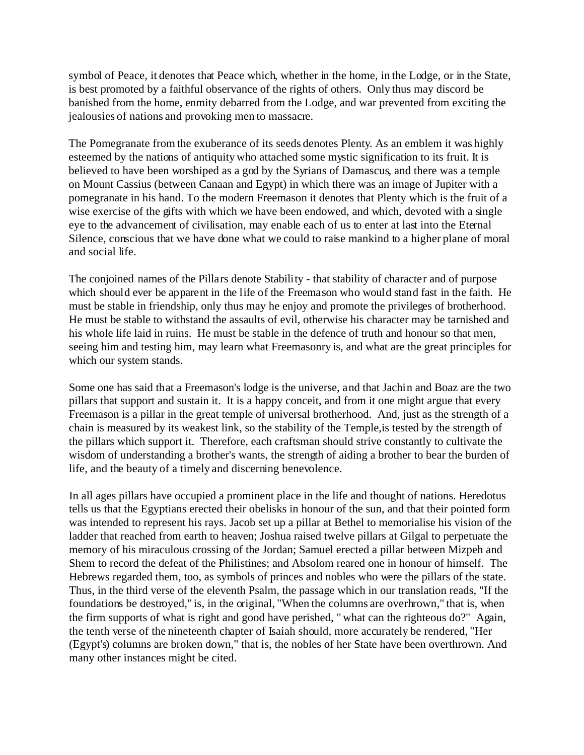symbol of Peace, it denotes that Peace which, whether in the home, in the Lodge, or in the State, is best promoted by a faithful observance of the rights of others. Only thus may discord be banished from the home, enmity debarred from the Lodge, and war prevented from exciting the jealousies of nations and provoking men to massacre.

The Pomegranate from the exuberance of its seeds denotes Plenty. As an emblem it was highly esteemed by the nations of antiquity who attached some mystic signification to its fruit. It is believed to have been worshiped as a god by the Syrians of Damascus, and there was a temple on Mount Cassius (between Canaan and Egypt) in which there was an image of Jupiter with a pomegranate in his hand. To the modern Freemason it denotes that Plenty which is the fruit of a wise exercise of the gifts with which we have been endowed, and which, devoted with a single eye to the advancement of civilisation, may enable each of us to enter at last into the Eternal Silence, conscious that we have done what we could to raise mankind to a higher plane of moral and social life.

The conjoined names of the Pillars denote Stability - that stability of character and of purpose which should ever be apparent in the life of the Freemason who would stand fast in the faith. He must be stable in friendship, only thus may he enjoy and promote the privileges of brotherhood. He must be stable to withstand the assaults of evil, otherwise his character may be tarnished and his whole life laid in ruins. He must be stable in the defence of truth and honour so that men, seeing him and testing him, may learn what Freemasonry is, and what are the great principles for which our system stands.

Some one has said that a Freemason's lodge is the universe, and that Jachin and Boaz are the two pillars that support and sustain it. It is a happy conceit, and from it one might argue that every Freemason is a pillar in the great temple of universal brotherhood. And, just as the strength of a chain is measured by its weakest link, so the stability of the Temple,is tested by the strength of the pillars which support it. Therefore, each craftsman should strive constantly to cultivate the wisdom of understanding a brother's wants, the strength of aiding a brother to bear the burden of life, and the beauty of a timely and discerning benevolence.

In all ages pillars have occupied a prominent place in the life and thought of nations. Heredotus tells us that the Egyptians erected their obelisks in honour of the sun, and that their pointed form was intended to represent his rays. Jacob set up a pillar at Bethel to memorialise his vision of the ladder that reached from earth to heaven; Joshua raised twelve pillars at Gilgal to perpetuate the memory of his miraculous crossing of the Jordan; Samuel erected a pillar between Mizpeh and Shem to record the defeat of the Philistines; and Absolom reared one in honour of himself. The Hebrews regarded them, too, as symbols of princes and nobles who were the pillars of the state. Thus, in the third verse of the eleventh Psalm, the passage which in our translation reads, "If the foundations be destroyed," is, in the original, "When the columns are overhrown," that is, when the firm supports of what is right and good have perished, " what can the righteous do?" Again, the tenth verse of the nineteenth chapter of Isaiah should, more accurately be rendered, "Her (Egypt's) columns are broken down," that is, the nobles of her State have been overthrown. And many other instances might be cited.